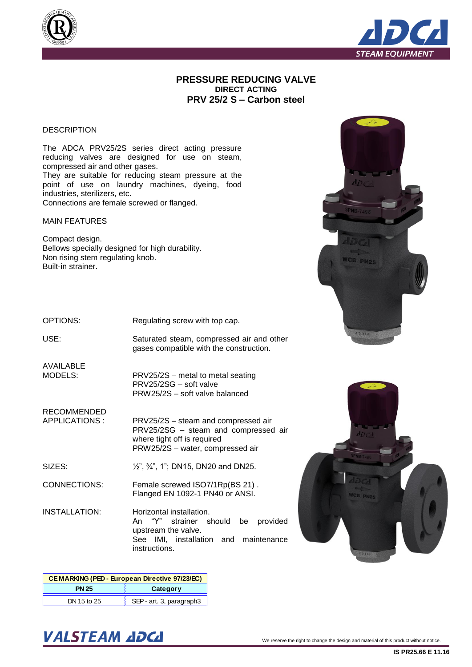



## **PRESSURE REDUCING VALVE DIRECT ACTING PRV 25/2 S – Carbon steel**

## **DESCRIPTION**

The ADCA PRV25/2S series direct acting pressure reducing valves are designed for use on steam, compressed air and other gases. They are suitable for reducing steam pressure at the point of use on laundry machines, dyeing, food industries, sterilizers, etc. Connections are female screwed or flanged.

MAIN FEATURES

Compact design. Bellows specially designed for high durability. Non rising stem regulating knob. Built-in strainer.

OPTIONS:

Regulating screw with top cap.

USE:

Saturated steam, compressed air and other gases compatible with the construction.

PRV25/2S – metal to metal seating

PRW25/2S – water, compressed air

PRW25/2S – soft valve balanced

PRV25/2SG – soft valve

AVAILABLE MODELS:

RECOMMENDED APPLICATIONS :

PRV25/2S – steam and compressed air PRV25/2SG – steam and compressed air where tight off is required

SIZES: ½", ¾", 1"; DN15, DN20 and DN25.

CONNECTIONS: Female screwed ISO7/1Rp(BS 21) . Flanged EN 1092-1 PN40 or ANSI.

INSTALLATION: Horizontal installation. An "Y" strainer should be provided upstream the valve. See IMI, installation and maintenance instructions.

| CEMARKING (PED - European Directive 97/23/EC) |                          |  |  |  |  |  |  |
|-----------------------------------------------|--------------------------|--|--|--|--|--|--|
| <b>PN 25</b><br>Category                      |                          |  |  |  |  |  |  |
| DN 15 to 25                                   | SEP - art. 3, paragraph3 |  |  |  |  |  |  |





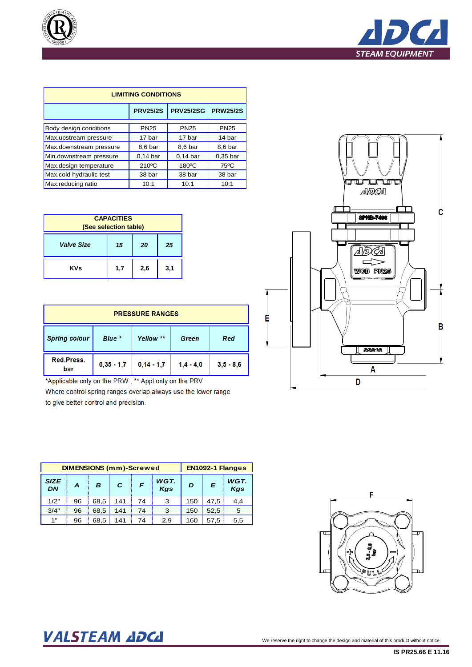



| <b>LIMITING CONDITIONS</b> |                 |                 |             |  |  |  |  |  |  |
|----------------------------|-----------------|-----------------|-------------|--|--|--|--|--|--|
|                            | <b>PRV25/2S</b> | <b>PRW25/2S</b> |             |  |  |  |  |  |  |
| Body design conditions     | <b>PN25</b>     | <b>PN25</b>     | <b>PN25</b> |  |  |  |  |  |  |
| Max.upstream pressure      | 17 bar          | 17 bar          | 14 bar      |  |  |  |  |  |  |
| Max.downstream pressure    | 8,6 bar         | 8,6 bar         | 8,6 bar     |  |  |  |  |  |  |
| Min.downstream pressure    | $0.14$ bar      | $0.14$ bar      | $0.35$ bar  |  |  |  |  |  |  |
| Max.design temperature     | 210°C           | 180°C           | 75°C        |  |  |  |  |  |  |
| Max.cold hydraulic test    | 38 bar          | 38 bar          | 38 bar      |  |  |  |  |  |  |
| Max.reducing ratio         | 10:1            | 10:1            | 10:1        |  |  |  |  |  |  |

| <b>CAPACITIES</b><br>(See selection table) |     |     |     |  |  |  |  |  |
|--------------------------------------------|-----|-----|-----|--|--|--|--|--|
| <b>Valve Size</b><br>15<br>25<br>20        |     |     |     |  |  |  |  |  |
| <b>KVs</b>                                 | 1,7 | 2,6 | 3,1 |  |  |  |  |  |

| <b>PRESSURE RANGES</b>                                      |              |              |             |             |  |  |  |  |  |
|-------------------------------------------------------------|--------------|--------------|-------------|-------------|--|--|--|--|--|
| <b>Spring colour</b><br>Blue *<br>Yellow **<br>Red<br>Green |              |              |             |             |  |  |  |  |  |
| Red.Press.<br>bar                                           | $0,35 - 1,7$ | $0,14 - 1,7$ | $1,4 - 4,0$ | $3,5 - 8,6$ |  |  |  |  |  |

\*Applicable only on the PRW ; \*\* Appl.only on the PRV

Where control spring ranges overlap, always use the lower range to give better control and precision.

|                          | <b>DIMENSIONS (mm)-Screwed</b> |      |     | EN1092-1 Flanges |             |     |      |             |
|--------------------------|--------------------------------|------|-----|------------------|-------------|-----|------|-------------|
| <b>SIZE</b><br><b>DN</b> | A                              | B    | C   | F                | WGT.<br>Kgs | D   | E    | WGT.<br>Kgs |
| 1/2"                     | 96                             | 68.5 | 141 | 74               | 3           | 150 | 47.5 | 4.4         |
| 3/4"                     | 96                             | 68.5 | 141 | 74               | 3           | 150 | 52.5 | 5           |
| 1"                       | 96                             | 68.5 | 141 | 74               | 2.9         | 160 | 57.5 | 5,5         |



Ė



## VALSTEAM ADCA We reserve the right to change the design and material of this product without notice.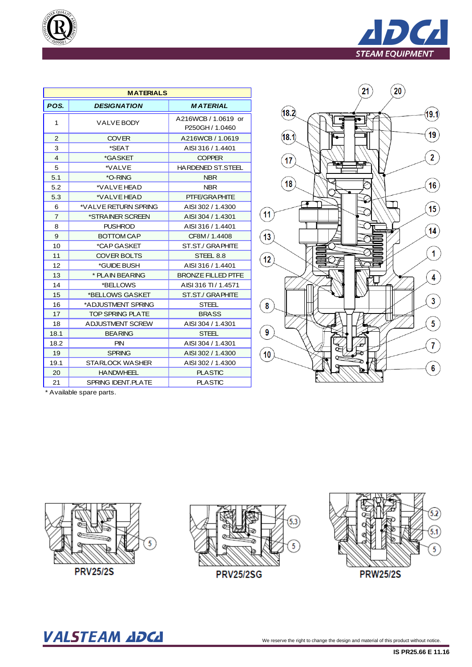

| q, | QUALITY        |
|----|----------------|
|    |                |
|    |                |
|    |                |
|    | $\sqrt{50900}$ |

|                         | <b>MATERIALS</b>          |                                                     |  |  |  |  |  |  |  |  |
|-------------------------|---------------------------|-----------------------------------------------------|--|--|--|--|--|--|--|--|
| POS.                    | <b>DESIGNATION</b>        | <b>MATERIAL</b>                                     |  |  |  |  |  |  |  |  |
| 1                       | VALVE BODY                | A216WCB / 1.0619 or<br>P <sub>250</sub> GH / 1.0460 |  |  |  |  |  |  |  |  |
| $\overline{2}$          | <b>COVER</b>              | A216WCB / 1.0619                                    |  |  |  |  |  |  |  |  |
| 3                       | *SEAT                     | AISI 316 / 1.4401                                   |  |  |  |  |  |  |  |  |
| $\overline{\mathbf{4}}$ | *GASKET                   | <b>COPPER</b>                                       |  |  |  |  |  |  |  |  |
| 5                       | *VALVE                    | <b>HARDENED ST.STEEL</b>                            |  |  |  |  |  |  |  |  |
| 5.1                     | *O-RING                   | <b>NBR</b>                                          |  |  |  |  |  |  |  |  |
| 5.2                     | *VALVE HEAD               | <b>NBR</b>                                          |  |  |  |  |  |  |  |  |
| 5.3                     | *VALVE HEAD               | <b>PTFE/GRAPHITE</b>                                |  |  |  |  |  |  |  |  |
| 6                       | *VALVE RETURN SPRING      | AISI 302 / 1.4300                                   |  |  |  |  |  |  |  |  |
| $\overline{7}$          | *STRAINER SCREEN          | AISI 304 / 1.4301                                   |  |  |  |  |  |  |  |  |
| 8                       | <b>PUSHROD</b>            | AISI 316 / 1.4401                                   |  |  |  |  |  |  |  |  |
| 9                       | BOTTOM CAP                | CF8M/1.4408                                         |  |  |  |  |  |  |  |  |
| 10                      | *CAP GASKET               | ST.ST./ GRAPHITE                                    |  |  |  |  |  |  |  |  |
| 11                      | <b>COVER BOLTS</b>        | STEEL 8.8                                           |  |  |  |  |  |  |  |  |
| 12                      | *GUIDE BUSH               | AISI 316 / 1.4401                                   |  |  |  |  |  |  |  |  |
| 13                      | * PLAIN BEARING           | <b>BRONZE FILLED PTFE</b>                           |  |  |  |  |  |  |  |  |
| 14                      | *BELLOWS                  | AISI 316 TI / 1.4571                                |  |  |  |  |  |  |  |  |
| 15                      | *BELLOWS GASKET           | ST.ST./ GRAPHITE                                    |  |  |  |  |  |  |  |  |
| 16                      | *ADJUSTMENT SPRING        | STEEL                                               |  |  |  |  |  |  |  |  |
| 17                      | <b>TOP SPRING PLATE</b>   | <b>BRASS</b>                                        |  |  |  |  |  |  |  |  |
| 18                      | <b>ADJUSTMENT SCREW</b>   | AISI 304 / 1.4301                                   |  |  |  |  |  |  |  |  |
| 18.1                    | <b>BEARING</b>            | <b>STEEL</b>                                        |  |  |  |  |  |  |  |  |
| 18.2                    | <b>PIN</b>                | AISI 304 / 1.4301                                   |  |  |  |  |  |  |  |  |
| 19                      | <b>SPRING</b>             | AISI 302 / 1.4300                                   |  |  |  |  |  |  |  |  |
| 19.1                    | <b>STARLOCK WASHER</b>    | AISI 302 / 1.4300                                   |  |  |  |  |  |  |  |  |
| 20                      | <b>HANDWHEEL</b>          | <b>PLASTIC</b>                                      |  |  |  |  |  |  |  |  |
| 21                      | <b>SPRING IDENT.PLATE</b> | <b>PLASTIC</b>                                      |  |  |  |  |  |  |  |  |



\* Available spare parts.